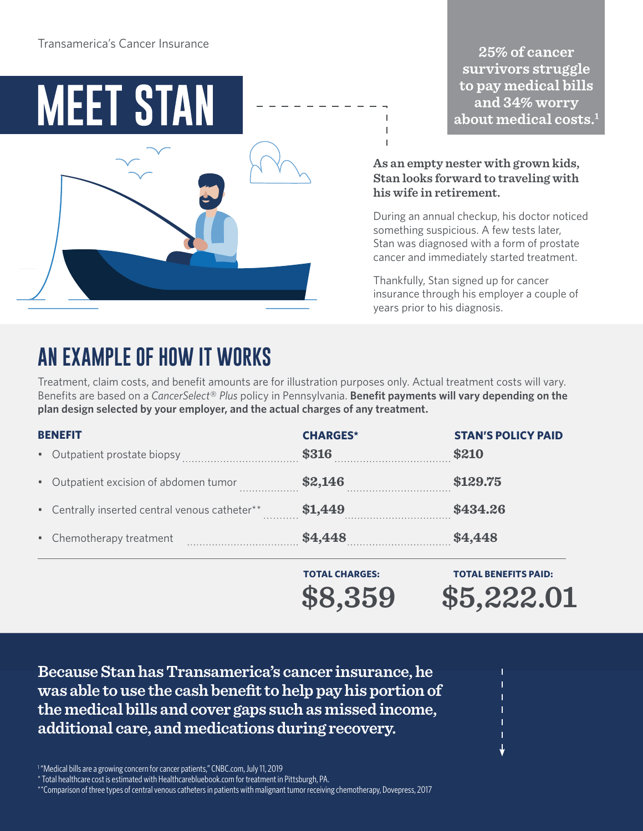

25% of cancer survivors struggle to pay medical bills and  $34\%$  worry  ${\rm about\, medical\, costs.}^1$ 

### **As an empty nester with grown kids, Stan looks forward to traveling with his wife in retirement.**

During an annual checkup, his doctor noticed something suspicious. A few tests later, Stan was diagnosed with a form of prostate cancer and immediately started treatment.

Thankfully, Stan signed up for cancer insurance through his employer a couple of years prior to his diagnosis.

# **AN EXAMPLE OF HOW IT WORKS**

Treatment, claim costs, and benefit amounts are for illustration purposes only. Actual treatment costs will vary. Benefits are based on a *CancerSelect*® *Plus* policy in Pennsylvania. **Benefit payments will vary depending on the plan design selected by your employer, and the actual charges of any treatment.**

| <b>BENEFIT</b> |                                                | <b>CHARGES*</b> | <b>STAN'S POLICY PAID</b> |
|----------------|------------------------------------------------|-----------------|---------------------------|
|                | • Outpatient prostate biopsy                   | \$316           | \$210                     |
|                | • Outpatient excision of abdomen tumor<br>.    | \$2,146         | \$129.75                  |
|                | • Centrally inserted central venous catheter** | \$1,449         | \$434.26                  |
|                | • Chemotherapy treatment                       | \$4,448         | \$4,448                   |

**\$8,359 \$5,222.01 TOTAL CHARGES: TOTAL BENEFITS PAID:**

**Because Stan has Transamerica's cancer insurance, he was able to use the cash benefit to help pay his portion of the medical bills and cover gaps such as missed income, additional care, and medications during recovery.** 

<sup>1</sup> "Medical bills are a growing concern for cancer patients," CNBC.com, July 11, 2019

\* Total healthcare cost is estimated with Healthcarebluebook.com for treatment in Pittsburgh, PA.

\*\*Comparison of three types of central venous catheters in patients with malignant tumor receiving chemotherapy, Dovepress, 2017